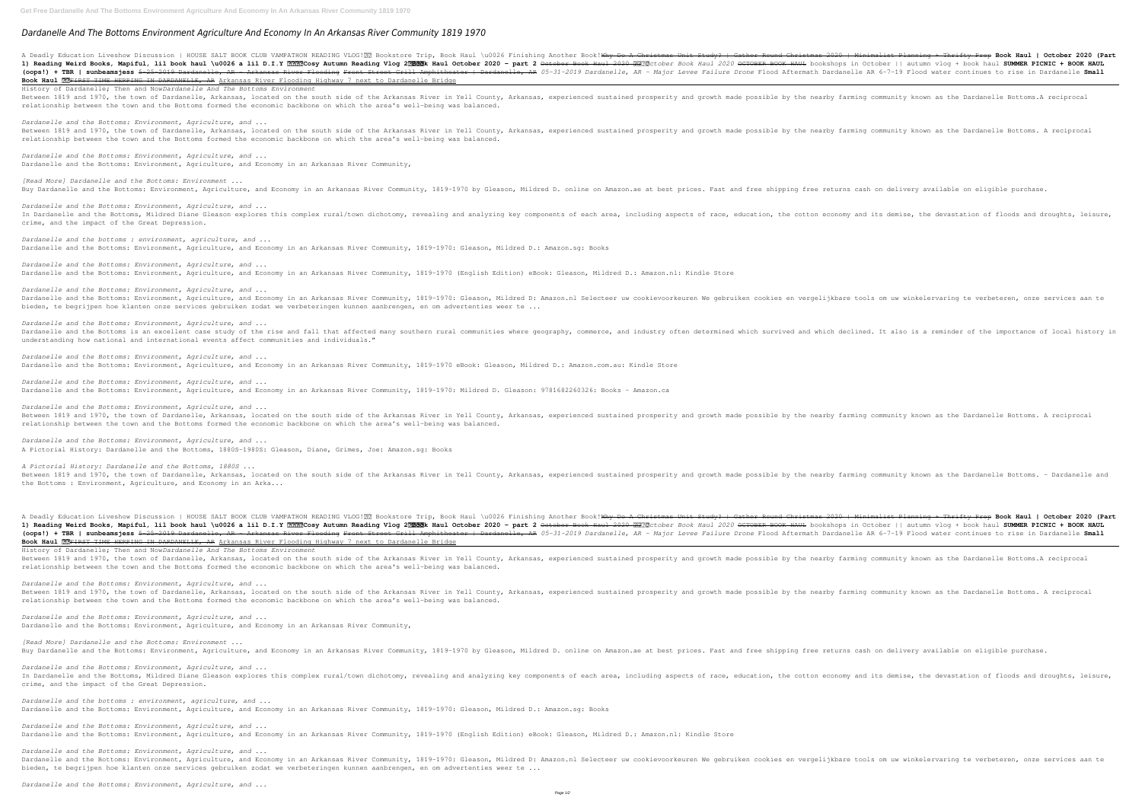## *Dardanelle And The Bottoms Environment Agriculture And Economy In An Arkansas River Community 1819 1970*

A Deadly Education Liveshow Discussion | HOUSE SALT BOOK CLUB VAMPATHON READING VLOG! **Read Supper Round Christmas 2020 | Minimalist Planning + Thrifty Prep <b>Book Haul | October 2020 (Part** 1) Reading Weird Books, Mapiful, lil book haul \u0026 a lil D.I.Y ????Cosy Autumn Reading Vlog 2??? Autumn Reading Vlog 2??? Autumn Reading Vlog 2.020 - part 2 0etober Book Haul 2020 OCTOBER BOOK HAUL bookshops in October (oops!) + TBR | sunbeamsjess 5-25-2019 Dardanelle, AR - Arkansas River Flooding Front Street Grill Amphitheater | Dardanelle, AR 05-31-2019 Dardanelle, AR 05-31-2019 Dardanelle, AR - Major Levee Failure Drone Flood Afterma Book Haul **33**FIRST TIME HERPING IN DARDANELLE, AR Arkansas River Flooding Highway 7 next to Dardanelle Bridge History of Dardanelle; Then and Now*Dardanelle And The Bottoms Environment*

Between 1819 and 1970, the town of Dardanelle, Arkansas, located on the south side of the Arkansas River in Yell County, Arkansas, experienced sustained prosperity and growth made possible by the nearby farming community k relationship between the town and the Bottoms formed the economic backbone on which the area's well-being was balanced.

*Dardanelle and the Bottoms: Environment, Agriculture, and ...* Dardanelle and the Bottoms: Environment, Agriculture, and Economy in an Arkansas River Community,

*[Read More] Dardanelle and the Bottoms: Environment ...* Buy Dardanelle and the Bottoms: Environment, Agriculture, and Economy in an Arkansas River Community, 1819-1970 by Gleason, Mildred D. online on Amazon.ae at best prices. Fast and free shipping free returns cash on deliver

*Dardanelle and the bottoms : environment, agriculture, and ...* Dardanelle and the Bottoms: Environment, Agriculture, and Economy in an Arkansas River Community, 1819-1970: Gleason, Mildred D.: Amazon.sg: Books

*Dardanelle and the Bottoms: Environment, Agriculture, and ...* Dardanelle and the Bottoms: Environment, Agriculture, and Economy in an Arkansas River Community, 1819-1970 (English Edition) eBook: Gleason, Mildred D.: Amazon.nl: Kindle Store

*Dardanelle and the Bottoms: Environment, Agriculture, and ...* Between 1819 and 1970, the town of Dardanelle, Arkansas, located on the south side of the Arkansas River in Yell County, Arkansas, experienced sustained prosperity and growth made possible by the nearby farming community k relationship between the town and the Bottoms formed the economic backbone on which the area's well-being was balanced.

*Dardanelle and the Bottoms: Environment, Agriculture, and ...* Dardanelle and the Bottoms: Environment, Agriculture, and Economy in an Arkansas River Community, 1819-1970 eBook: Gleason, Mildred D.: Amazon.com.au: Kindle Store

*Dardanelle and the Bottoms: Environment, Agriculture, and ...* Dardanelle and the Bottoms: Environment, Agriculture, and Economy in an Arkansas River Community, 1819-1970: Mildred D. Gleason: 9781682260326: Books - Amazon.ca

*Dardanelle and the Bottoms: Environment, Agriculture, and ...* In Dardanelle and the Bottoms, Mildred Diane Gleason explores this complex rural/town dichotomy, revealing and analyzing key components of each area, including aspects of race, education, the cotton economy and its demise, crime, and the impact of the Great Depression.

A Deadly Education Liveshow Discussion | HOUSE SALT BOOK CLUB VAMPATHON READING VLOG! **Read Subject Book Islam** Christ and Christmas 2020 | Minimalist Planning + Thrifty Prep **Book Haul | October 2020 (Part** 1) Reading Weird Books, Mapiful, lil book haul \u0026 a lil D.I.Y ????Cosy Autumn Reading Vlog 2??? Autumn Reading Vlog 2??? OCTOBER BOOK HAUL bookshops in October || autumn vlog + book haul SUMMER PICNIC + BOOK HAUL (oops!) + TBR | sunbeamsjess 5-25-2019 Dardanelle, AR - Arkansas River Flooding Front Street Grill Amphitheater | Dardanelle, AR 05-31-2019 Dardanelle AR 6-7-19 Flood water continues to rise in Dardanelle Small Book Haul **??**FIRST TIME HERPING IN DARDANELLE, AR Arkansas River Flooding Highway 7 next to Dardanelle Bridge History of Dardanelle; Then and Now*Dardanelle And The Bottoms Environment* Between 1819 and 1970, the town of Dardanelle, Arkansas, located on the south side of the Arkansas River in Yell County, Arkansas, experienced sustained prosperity and growth made possible by the nearby farming community k relationship between the town and the Bottoms formed the economic backbone on which the area's well-being was balanced.

*Dardanelle and the Bottoms: Environment, Agriculture, and ...* Dardanelle and the Bottoms: Environment, Agriculture, and Economy in an Arkansas River Community, 1819-1970: Gleason, Mildred D: Amazon.nl Selecteer uw cookievoorkeuren We gebruiken cookies en vergelijkbare tools om uw win bieden, te begrijpen hoe klanten onze services gebruiken zodat we verbeteringen kunnen aanbrengen, en om advertenties weer te ...

*Dardanelle and the Bottoms: Environment, Agriculture, and ...* Dardanelle and the Bottoms: Environment, Agriculture, and Economy in an Arkansas River Community,

*[Read More] Dardanelle and the Bottoms: Environment ...* Buy Dardanelle and the Bottoms: Environment, Agriculture, and Economy in an Arkansas River Community, 1819-1970 by Gleason, Mildred D. online on Amazon.ae at best prices. Fast and free shipping free returns cash on deliver

*Dardanelle and the Bottoms: Environment, Agriculture, and ...* Dardanelle and the Bottoms is an excellent case study of the rise and fall that affected many southern rural communities where geography, commerce, and industry often determined which survived and which declined. It also i understanding how national and international events affect communities and individuals."

*Dardanelle and the bottoms : environment, agriculture, and ...* Dardanelle and the Bottoms: Environment, Agriculture, and Economy in an Arkansas River Community, 1819-1970: Gleason, Mildred D.: Amazon.sg: Books

*Dardanelle and the Bottoms: Environment, Agriculture, and ...* Dardanelle and the Bottoms: Environment, Agriculture, and Economy in an Arkansas River Community, 1819-1970 (English Edition) eBook: Gleason, Mildred D.: Amazon.nl: Kindle Store

*Dardanelle and the Bottoms: Environment, Agriculture, and ...* Dardanelle and the Bottoms: Environment, Agriculture, and Economy in an Arkansas River Community, 1819–1970: Gleason, Mildred D: Amazon.nl Selecteer uw cookievoorkeuren We gebruiken cookies en vergelijkbare tools om uw win bieden, te begrijpen hoe klanten onze services gebruiken zodat we verbeteringen kunnen aanbrengen, en om advertenties weer te ...

*Dardanelle and the Bottoms: Environment, Agriculture, and ...* Between 1819 and 1970, the town of Dardanelle, Arkansas, located on the south side of the Arkansas River in Yell County, Arkansas, experienced sustained prosperity and growth made possible by the nearby farming community k relationship between the town and the Bottoms formed the economic backbone on which the area's well-being was balanced.

*Dardanelle and the Bottoms: Environment, Agriculture, and ...* A Pictorial History: Dardanelle and the Bottoms, 1880S-1980S: Gleason, Diane, Grimes, Joe: Amazon.sg: Books

*A Pictorial History: Dardanelle and the Bottoms, 1880S ...* Between 1819 and 1970, the town of Dardanelle, Arkansas, located on the south side of the Arkansas River in Yell County, Arkansas, experienced sustained prosperity and growth made possible by the nearby farming community k the Bottoms : Environment, Agriculture, and Economy in an Arka...

*Dardanelle and the Bottoms: Environment, Agriculture, and ...* Between 1819 and 1970, the town of Dardanelle, Arkansas, located on the south side of the Arkansas River in Yell County, Arkansas, experienced sustained prosperity and growth made possible by the nearby farming community k relationship between the town and the Bottoms formed the economic backbone on which the area's well-being was balanced.

*Dardanelle and the Bottoms: Environment, Agriculture, and ...* In Dardanelle and the Bottoms, Mildred Diane Gleason explores this complex rural/town dichotomy, revealing and analyzing key components of each area, including aspects of race, education, the cotton economy and its demise, crime, and the impact of the Great Depression.

*Dardanelle and the Bottoms: Environment, Agriculture, and ...*